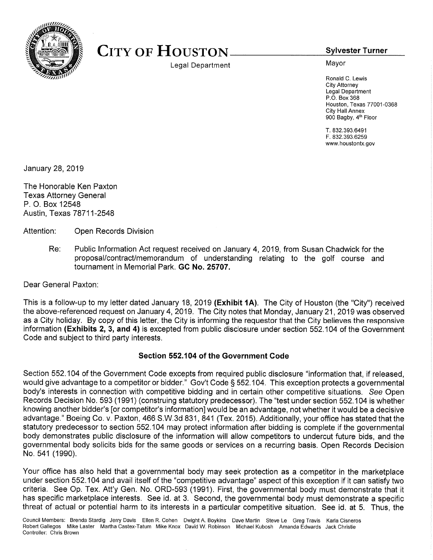

## CITY OF HOUSTON Sylvester Turner

Legal Department Mayor

Ronald C. Lewis City Attomey Legal Department P.O. Box 368 Houston, Texas 77001-0368 City Hall Annex 900 Bagby, 4th Floor

T. 832.393.6491 F. 832.393.6259 www.houstontx.gov

January 28, 2019

The Honorable Ken Paxton Texas Attorney General P. O. Box 12548 Austin, Texas 78711-2548

Attention: Open Records Division

Re: Public Information Act request received on January 4, 2019, from Susan Chadwick for the proposal/contract/memorandum of understanding relating to the golf course and tournament in Memorial Park. GC No. 25707.

Dear General Paxton:

This is <sup>a</sup> follow-up to my letter dated January 18, <sup>2019</sup> (Exhibit 1A). The City of Houston (the "City") received the above-referenced request on January 4, 2019. The City notes that Monday, January 21, <sup>2019</sup> was observed as <sup>a</sup> City holiday. By copy of this letter, the City is informing the requestor that the City believes the responsive information (Exhibits 2, 3, and 4) is excepted from public disclosure under section 552.104 of the Government Code and subject to third party interests.

## Section 552.104 of the Government Code

Section 552.104 of the Government Code excepts from required public disclosure "information that, if released, would give advantage to <sup>a</sup> competitor or bidder." Gov't Code § 552.104. This exception protects <sup>a</sup> governmental body's interests in connection with competitive bidding and in certain other competitive situations. See Open Records Decision No. 593 (1991) (construing statutory predecessor). The "test under section 552.104 is whether knowing another bidder's [or competitor's information] would be an advantage, not whether it would be <sup>a</sup> decisive advantage." Boeing Co. v. Paxton, <sup>466</sup> S.W.3d 831, <sup>841</sup> (Tex. 2015). Additionally, your office has stated that the statutory predecessor to section 552.104 may protect information after bidding is complete if the governmental body demonstrates public disclosure of the information will allow competitors to undercut future bids, and the governmental body solicits bids for the same goods or services on <sup>a</sup> recurring basis. Open Records Decision No. <sup>541</sup> (1990).

Your office has also held that <sup>a</sup> governmental body may seek protection as <sup>a</sup> competitor in the marketplace under section 552.104 and avail itself of the "competitive advantage" aspect of this exception if it can satisfy two criteria. See Op. Tex. Att'y Gen. No. ORD-593 (1991). First, the governmental body must demonstrate that it has specific marketplace interests. See id. at 3. Second, the governmental body must demonstrate <sup>a</sup> specific threat of actual or potential harm to its interests in <sup>a</sup> particular competitive situation. See id. at 5. Thus, the